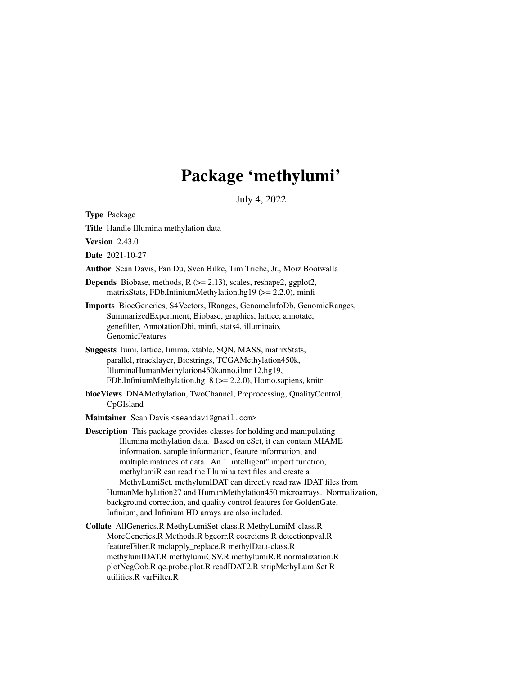## Package 'methylumi'

July 4, 2022

<span id="page-0-0"></span>Type Package

Title Handle Illumina methylation data

**Version** 2.43.0

Date 2021-10-27

Author Sean Davis, Pan Du, Sven Bilke, Tim Triche, Jr., Moiz Bootwalla

**Depends** Biobase, methods,  $R$  ( $>= 2.13$ ), scales, reshape2, ggplot2, matrixStats, FDb.InfiniumMethylation.hg19 (>= 2.2.0), minfi

Imports BiocGenerics, S4Vectors, IRanges, GenomeInfoDb, GenomicRanges, SummarizedExperiment, Biobase, graphics, lattice, annotate, genefilter, AnnotationDbi, minfi, stats4, illuminaio, **GenomicFeatures** 

- Suggests lumi, lattice, limma, xtable, SQN, MASS, matrixStats, parallel, rtracklayer, Biostrings, TCGAMethylation450k, IlluminaHumanMethylation450kanno.ilmn12.hg19, FDb.InfiniumMethylation.hg18 (>= 2.2.0), Homo.sapiens, knitr
- biocViews DNAMethylation, TwoChannel, Preprocessing, QualityControl, CpGIsland

Maintainer Sean Davis <seandavi@gmail.com>

Description This package provides classes for holding and manipulating Illumina methylation data. Based on eSet, it can contain MIAME information, sample information, feature information, and multiple matrices of data. An ``intelligent" import function, methylumiR can read the Illumina text files and create a MethyLumiSet. methylumIDAT can directly read raw IDAT files from HumanMethylation27 and HumanMethylation450 microarrays. Normalization, background correction, and quality control features for GoldenGate, Infinium, and Infinium HD arrays are also included.

Collate AllGenerics.R MethyLumiSet-class.R MethyLumiM-class.R MoreGenerics.R Methods.R bgcorr.R coercions.R detectionpval.R featureFilter.R mclapply\_replace.R methylData-class.R methylumIDAT.R methylumiCSV.R methylumiR.R normalization.R plotNegOob.R qc.probe.plot.R readIDAT2.R stripMethyLumiSet.R utilities.R varFilter.R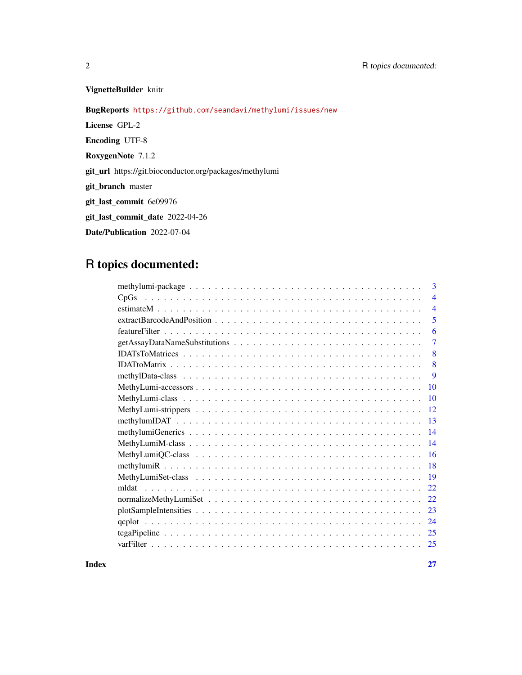## VignetteBuilder knitr

BugReports <https://github.com/seandavi/methylumi/issues/new>

License GPL-2

Encoding UTF-8

RoxygenNote 7.1.2

git\_url https://git.bioconductor.org/packages/methylumi

git\_branch master

git\_last\_commit 6e09976

git\_last\_commit\_date 2022-04-26

Date/Publication 2022-07-04

## R topics documented:

|              | 3                        |
|--------------|--------------------------|
|              | $\overline{\mathcal{A}}$ |
|              | $\overline{4}$           |
|              | 5                        |
|              | 6                        |
|              | $\overline{7}$           |
|              | 8                        |
|              | 8                        |
|              | 9                        |
| 10           |                          |
| 10           |                          |
| 12           |                          |
| 13           |                          |
| 14           |                          |
| 14           |                          |
| 16           |                          |
| -18          |                          |
| 19           |                          |
| mldat<br>22. |                          |
| 22           |                          |
| 23           |                          |
| 24           |                          |
| 25           |                          |
| 25           |                          |

**Index** [27](#page-26-0)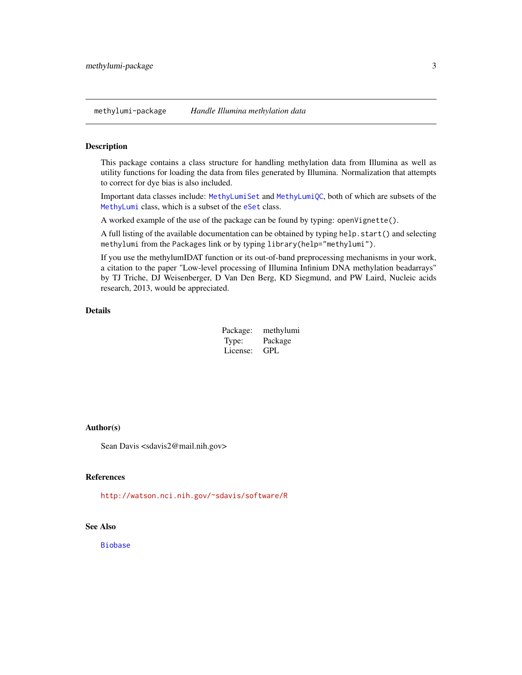<span id="page-2-0"></span>methylumi-package *Handle Illumina methylation data*

#### Description

This package contains a class structure for handling methylation data from Illumina as well as utility functions for loading the data from files generated by Illumina. Normalization that attempts to correct for dye bias is also included.

Important data classes include: [MethyLumiSet](#page-18-1) and [MethyLumiQC](#page-15-1), both of which are subsets of the [MethyLumi](#page-9-1) class, which is a subset of the [eSet](#page-0-0) class.

A worked example of the use of the package can be found by typing: openVignette().

A full listing of the available documentation can be obtained by typing help.start() and selecting methylumi from the Packages link or by typing library(help="methylumi").

If you use the methylumIDAT function or its out-of-band preprocessing mechanisms in your work, a citation to the paper "Low-level processing of Illumina Infinium DNA methylation beadarrays" by TJ Triche, DJ Weisenberger, D Van Den Berg, KD Siegmund, and PW Laird, Nucleic acids research, 2013, would be appreciated.

#### Details

| Package: | methylumi |
|----------|-----------|
| Type:    | Package   |
| License: | GPL       |

#### Author(s)

Sean Davis <sdavis2@mail.nih.gov>

## References

<http://watson.nci.nih.gov/~sdavis/software/R>

#### See Also

[Biobase](#page-0-0)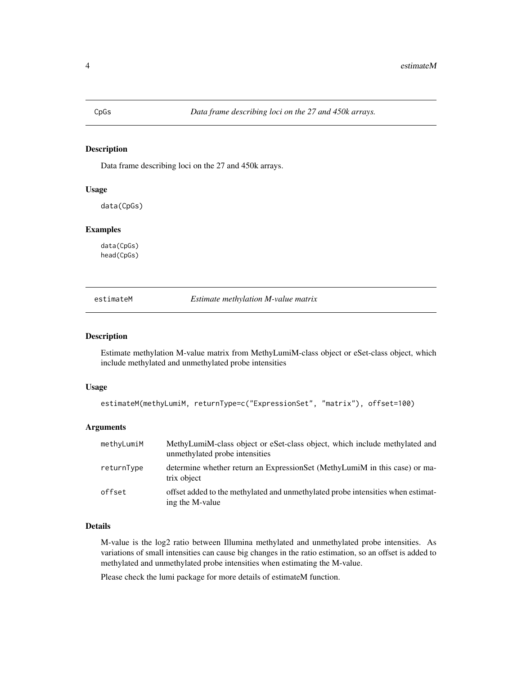<span id="page-3-0"></span>

## Description

Data frame describing loci on the 27 and 450k arrays.

#### Usage

data(CpGs)

## Examples

data(CpGs) head(CpGs)

estimateM *Estimate methylation M-value matrix*

## Description

Estimate methylation M-value matrix from MethyLumiM-class object or eSet-class object, which include methylated and unmethylated probe intensities

#### Usage

```
estimateM(methyLumiM, returnType=c("ExpressionSet", "matrix"), offset=100)
```
#### Arguments

| methyLumiM | MethyLumiM-class object or eSet-class object, which include methylated and<br>unmethylated probe intensities |
|------------|--------------------------------------------------------------------------------------------------------------|
| returnType | determine whether return an ExpressionSet (MethyLumiM in this case) or ma-<br>trix object                    |
| offset     | offset added to the methylated and unmethylated probe intensities when estimat-<br>ing the M-value           |

## Details

M-value is the log2 ratio between Illumina methylated and unmethylated probe intensities. As variations of small intensities can cause big changes in the ratio estimation, so an offset is added to methylated and unmethylated probe intensities when estimating the M-value.

Please check the lumi package for more details of estimateM function.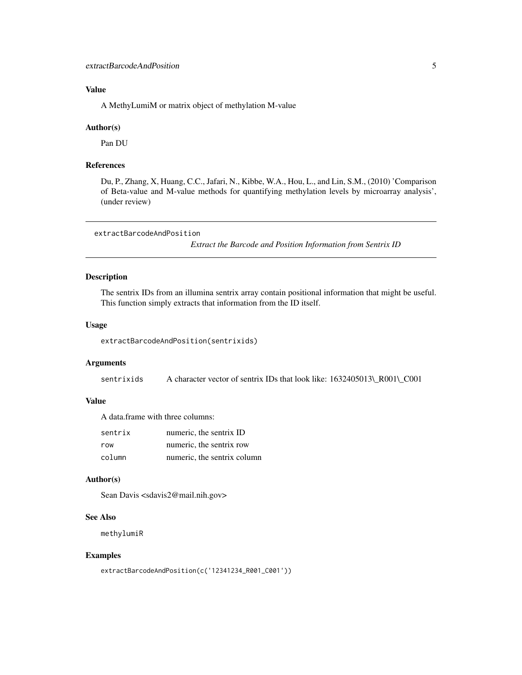## <span id="page-4-0"></span>Value

A MethyLumiM or matrix object of methylation M-value

#### Author(s)

Pan DU

## References

Du, P., Zhang, X, Huang, C.C., Jafari, N., Kibbe, W.A., Hou, L., and Lin, S.M., (2010) 'Comparison of Beta-value and M-value methods for quantifying methylation levels by microarray analysis', (under review)

```
extractBarcodeAndPosition
```
*Extract the Barcode and Position Information from Sentrix ID*

## Description

The sentrix IDs from an illumina sentrix array contain positional information that might be useful. This function simply extracts that information from the ID itself.

#### Usage

```
extractBarcodeAndPosition(sentrixids)
```
#### Arguments

sentrixids A character vector of sentrix IDs that look like: 1632405013\\_R001\\_C001

## Value

A data.frame with three columns:

| sentrix | numeric, the sentrix ID     |
|---------|-----------------------------|
| row     | numeric, the sentrix row    |
| column  | numeric, the sentrix column |

#### Author(s)

Sean Davis <sdavis2@mail.nih.gov>

#### See Also

methylumiR

#### Examples

```
extractBarcodeAndPosition(c('12341234_R001_C001'))
```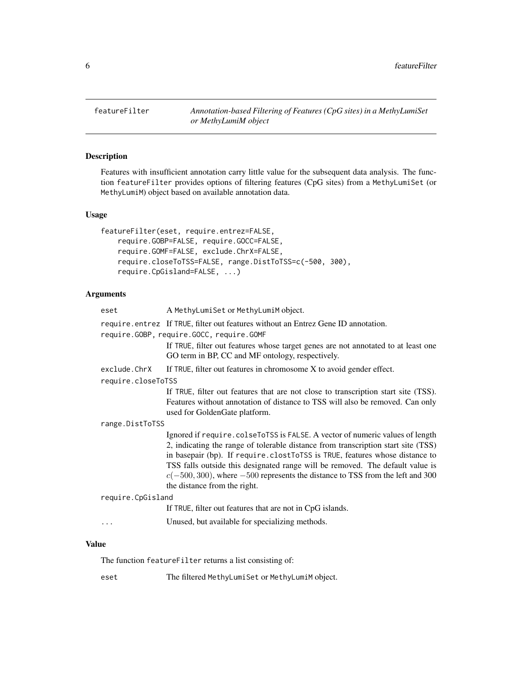<span id="page-5-0"></span>

## Description

Features with insufficient annotation carry little value for the subsequent data analysis. The function featureFilter provides options of filtering features (CpG sites) from a MethyLumiSet (or MethyLumiM) object based on available annotation data.

## Usage

```
featureFilter(eset, require.entrez=FALSE,
   require.GOBP=FALSE, require.GOCC=FALSE,
   require.GOMF=FALSE, exclude.ChrX=FALSE,
   require.closeToTSS=FALSE, range.DistToTSS=c(-500, 300),
   require.CpGisland=FALSE, ...)
```
## Arguments

| eset               | A MethyLumiSet or MethyLumiM object.                                                                                                                                                                                                                                                                                                                                                                                                                    |
|--------------------|---------------------------------------------------------------------------------------------------------------------------------------------------------------------------------------------------------------------------------------------------------------------------------------------------------------------------------------------------------------------------------------------------------------------------------------------------------|
|                    | require.entrez If TRUE, filter out features without an Entrez Gene ID annotation.                                                                                                                                                                                                                                                                                                                                                                       |
|                    | require.GOBP, require.GOCC, require.GOMF                                                                                                                                                                                                                                                                                                                                                                                                                |
|                    | If TRUE, filter out features whose target genes are not annotated to at least one<br>GO term in BP, CC and MF ontology, respectively.                                                                                                                                                                                                                                                                                                                   |
| exclude.ChrX       | If TRUE, filter out features in chromosome X to avoid gender effect.                                                                                                                                                                                                                                                                                                                                                                                    |
| require.closeToTSS |                                                                                                                                                                                                                                                                                                                                                                                                                                                         |
|                    | If TRUE, filter out features that are not close to transcription start site (TSS).<br>Features without annotation of distance to TSS will also be removed. Can only<br>used for GoldenGate platform.                                                                                                                                                                                                                                                    |
| range.DistToTSS    |                                                                                                                                                                                                                                                                                                                                                                                                                                                         |
|                    | Ignored if require.colseToTSS is FALSE. A vector of numeric values of length<br>2, indicating the range of tolerable distance from transcription start site (TSS)<br>in basepair (bp). If require.clostToTSS is TRUE, features whose distance to<br>TSS falls outside this designated range will be removed. The default value is<br>$c(-500, 300)$ , where $-500$ represents the distance to TSS from the left and 300<br>the distance from the right. |
| require.CpGisland  |                                                                                                                                                                                                                                                                                                                                                                                                                                                         |
|                    | If TRUE, filter out features that are not in CpG islands.                                                                                                                                                                                                                                                                                                                                                                                               |
| .                  | Unused, but available for specializing methods.                                                                                                                                                                                                                                                                                                                                                                                                         |
|                    |                                                                                                                                                                                                                                                                                                                                                                                                                                                         |

## Value

The function featureFilter returns a list consisting of:

eset The filtered MethyLumiSet or MethyLumiM object.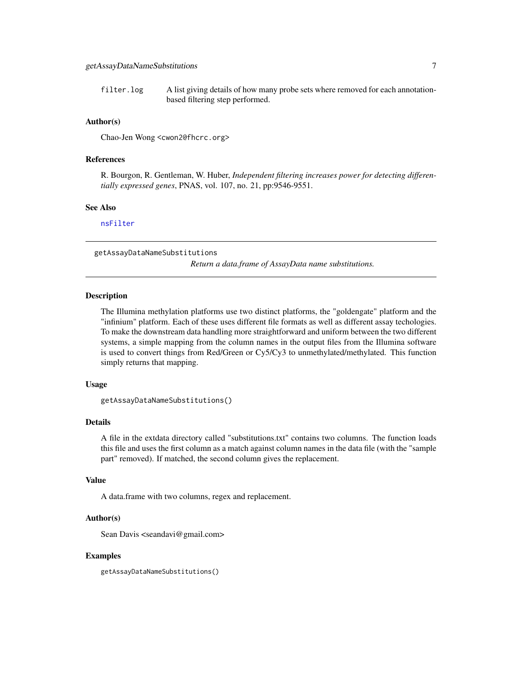<span id="page-6-0"></span>filter.log A list giving details of how many probe sets where removed for each annotationbased filtering step performed.

## Author(s)

Chao-Jen Wong <cwon2@fhcrc.org>

#### References

R. Bourgon, R. Gentleman, W. Huber, *Independent filtering increases power for detecting differentially expressed genes*, PNAS, vol. 107, no. 21, pp:9546-9551.

## See Also

[nsFilter](#page-0-0)

getAssayDataNameSubstitutions *Return a data.frame of AssayData name substitutions.*

## **Description**

The Illumina methylation platforms use two distinct platforms, the "goldengate" platform and the "infinium" platform. Each of these uses different file formats as well as different assay techologies. To make the downstream data handling more straightforward and uniform between the two different systems, a simple mapping from the column names in the output files from the Illumina software is used to convert things from Red/Green or Cy5/Cy3 to unmethylated/methylated. This function simply returns that mapping.

#### Usage

```
getAssayDataNameSubstitutions()
```
## Details

A file in the extdata directory called "substitutions.txt" contains two columns. The function loads this file and uses the first column as a match against column names in the data file (with the "sample part" removed). If matched, the second column gives the replacement.

#### Value

A data.frame with two columns, regex and replacement.

## Author(s)

Sean Davis <seandavi@gmail.com>

## Examples

getAssayDataNameSubstitutions()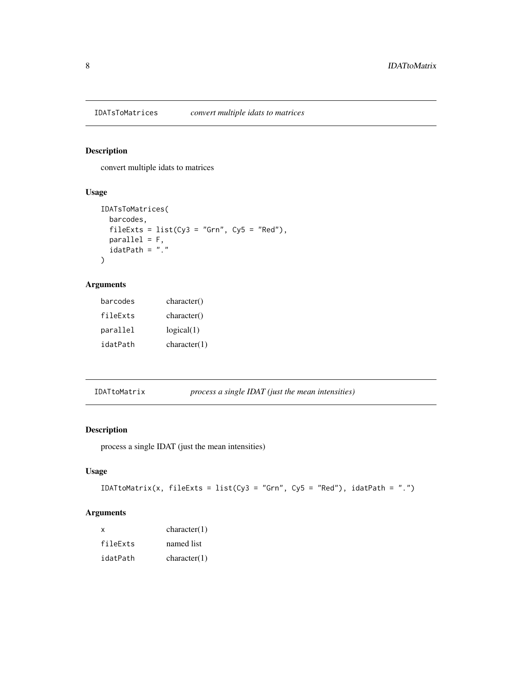<span id="page-7-0"></span>

## Description

convert multiple idats to matrices

## Usage

```
IDATsToMatrices(
  barcodes,
  fileExts = list(Cy3 = "Grn", Cy5 = "Red"),
  parallel = F,
  idatPath = "."
\mathcal{L}
```
## Arguments

| barcodes | character()  |
|----------|--------------|
| fileExts | character()  |
| parallel | logical(1)   |
| idatPath | character(1) |

IDATtoMatrix *process a single IDAT (just the mean intensities)*

## Description

process a single IDAT (just the mean intensities)

## Usage

```
IDATtoMatrix(x, fileExts = list(Cy3 = "Grn", Cy5 = "Red"), idatPath = ".")
```
## Arguments

| x        | character(1) |
|----------|--------------|
| fileFxts | named list   |
| idatPath | character(1) |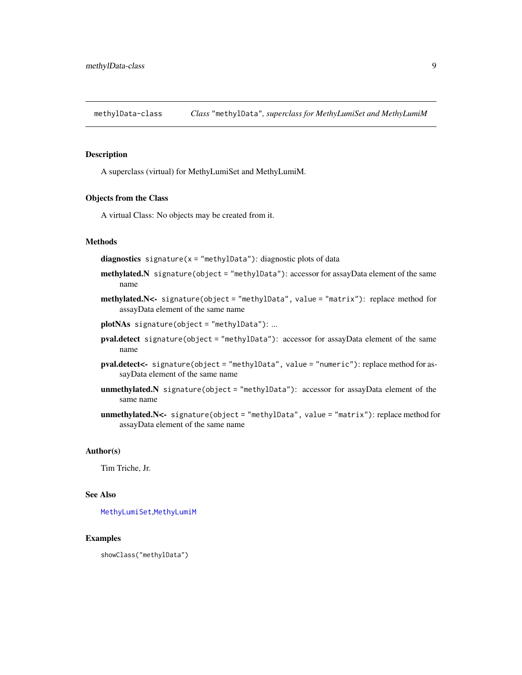<span id="page-8-1"></span><span id="page-8-0"></span>methylData-class *Class* "methylData"*, superclass for MethyLumiSet and MethyLumiM*

## Description

A superclass (virtual) for MethyLumiSet and MethyLumiM.

#### Objects from the Class

A virtual Class: No objects may be created from it.

## **Methods**

diagnostics signature( $x =$ "methylData"): diagnostic plots of data

- methylated.N signature(object = "methylData"): accessor for assayData element of the same name
- methylated.N<- signature(object = "methylData", value = "matrix"): replace method for assayData element of the same name
- plotNAs signature(object = "methylData"): ...
- pval.detect signature(object = "methylData"): accessor for assayData element of the same name
- pval.detect<- signature(object = "methylData", value = "numeric"): replace method for assayData element of the same name
- unmethylated.N signature(object = "methylData"): accessor for assayData element of the same name
- unmethylated.N<- signature(object = "methylData", value = "matrix"): replace method for assayData element of the same name

## Author(s)

Tim Triche, Jr.

#### See Also

[MethyLumiSet](#page-18-1),[MethyLumiM](#page-13-1)

#### Examples

showClass("methylData")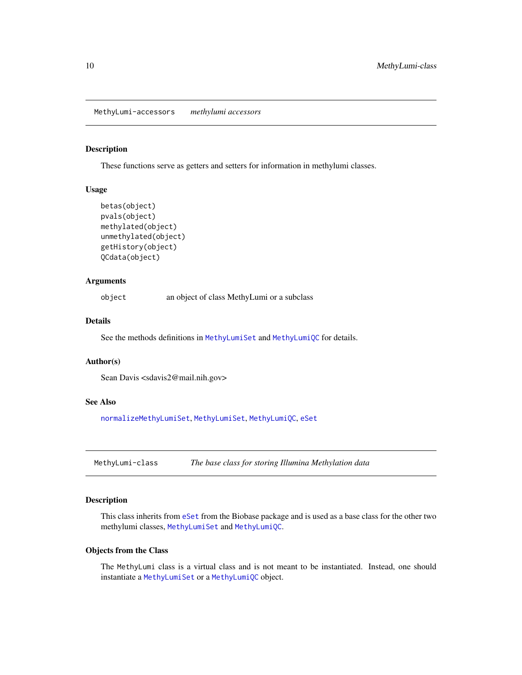<span id="page-9-0"></span>MethyLumi-accessors *methylumi accessors*

## Description

These functions serve as getters and setters for information in methylumi classes.

#### Usage

```
betas(object)
pvals(object)
methylated(object)
unmethylated(object)
getHistory(object)
QCdata(object)
```
## Arguments

object an object of class MethyLumi or a subclass

#### Details

See the methods definitions in [MethyLumiSet](#page-18-1) and [MethyLumiQC](#page-15-1) for details.

#### Author(s)

Sean Davis <sdavis2@mail.nih.gov>

## See Also

[normalizeMethyLumiSet](#page-21-1), [MethyLumiSet](#page-18-1), [MethyLumiQC](#page-15-1), [eSet](#page-0-0)

<span id="page-9-1"></span>MethyLumi-class *The base class for storing Illumina Methylation data*

#### Description

This class inherits from [eSet](#page-0-0) from the Biobase package and is used as a base class for the other two methylumi classes, [MethyLumiSet](#page-18-1) and [MethyLumiQC](#page-15-1).

#### Objects from the Class

The MethyLumi class is a virtual class and is not meant to be instantiated. Instead, one should instantiate a [MethyLumiSet](#page-18-1) or a [MethyLumiQC](#page-15-1) object.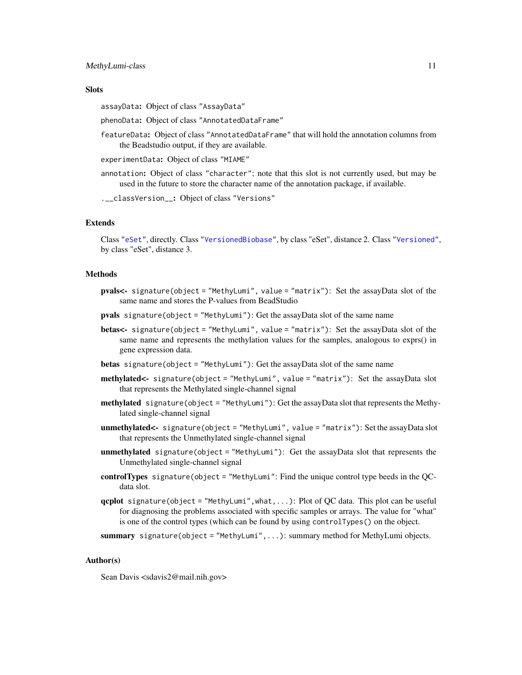#### <span id="page-10-0"></span>**Slots**

assayData: Object of class "AssayData"

phenoData: Object of class "AnnotatedDataFrame"

featureData: Object of class "AnnotatedDataFrame" that will hold the annotation columns from the Beadstudio output, if they are available.

experimentData: Object of class "MIAME"

annotation: Object of class "character"; note that this slot is not currently used, but may be used in the future to store the character name of the annotation package, if available.

.\_\_classVersion\_\_: Object of class "Versions"

## Extends

Class ["eSet"](#page-0-0), directly. Class ["VersionedBiobase"](#page-0-0), by class "eSet", distance 2. Class ["Versioned"](#page-0-0), by class "eSet", distance 3.

#### Methods

- pvals<- signature(object = "MethyLumi", value = "matrix"): Set the assayData slot of the same name and stores the P-values from BeadStudio
- pvals signature(object = "MethyLumi"): Get the assayData slot of the same name
- betas<- signature(object = "MethyLumi", value = "matrix"): Set the assayData slot of the same name and represents the methylation values for the samples, analogous to exprs() in gene expression data.
- betas signature(object = "MethyLumi"): Get the assayData slot of the same name
- methylated<- signature(object = "MethyLumi", value = "matrix"): Set the assayData slot that represents the Methylated single-channel signal
- methylated signature(object = "MethyLumi"): Get the assayData slot that represents the Methylated single-channel signal
- unmethylated<- signature(object = "MethyLumi", value = "matrix"): Set the assayData slot that represents the Unmethylated single-channel signal
- unmethylated signature(object = "MethyLumi"): Get the assayData slot that represents the Unmethylated single-channel signal
- controlTypes signature(object = "MethyLumi": Find the unique control type beeds in the QCdata slot.
- qcplot signature(object = "MethyLumi", what,...): Plot of QC data. This plot can be useful for diagnosing the problems associated with specific samples or arrays. The value for "what" is one of the control types (which can be found by using controlTypes() on the object.
- summary signature(object = "MethyLumi", ...): summary method for MethyLumi objects.

## Author(s)

Sean Davis <sdavis2@mail.nih.gov>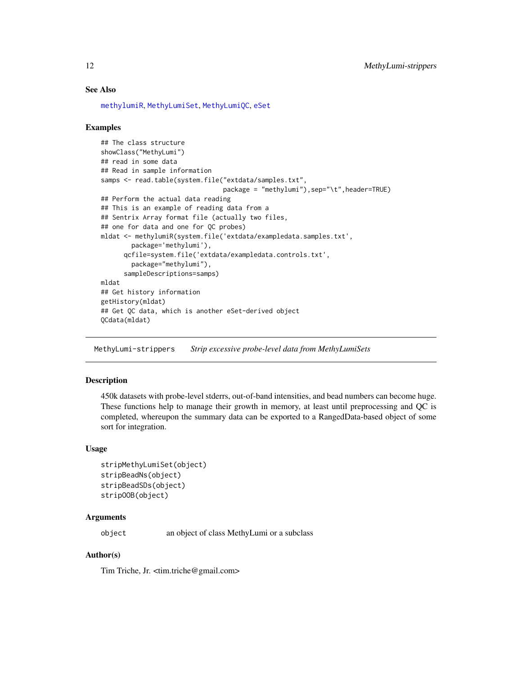## See Also

[methylumiR](#page-17-1), [MethyLumiSet](#page-18-1), [MethyLumiQC](#page-15-1), [eSet](#page-0-0)

## Examples

```
## The class structure
showClass("MethyLumi")
## read in some data
## Read in sample information
samps <- read.table(system.file("extdata/samples.txt",
                                package = "methylumi"),sep="\t",header=TRUE)
## Perform the actual data reading
## This is an example of reading data from a
## Sentrix Array format file (actually two files,
## one for data and one for QC probes)
mldat <- methylumiR(system.file('extdata/exampledata.samples.txt',
        package='methylumi'),
      qcfile=system.file('extdata/exampledata.controls.txt',
        package="methylumi"),
      sampleDescriptions=samps)
mldat
## Get history information
getHistory(mldat)
## Get QC data, which is another eSet-derived object
QCdata(mldat)
```
MethyLumi-strippers *Strip excessive probe-level data from MethyLumiSets*

## Description

450k datasets with probe-level stderrs, out-of-band intensities, and bead numbers can become huge. These functions help to manage their growth in memory, at least until preprocessing and QC is completed, whereupon the summary data can be exported to a RangedData-based object of some sort for integration.

#### Usage

```
stripMethyLumiSet(object)
stripBeadNs(object)
stripBeadSDs(object)
stripOOB(object)
```
#### **Arguments**

object an object of class MethyLumi or a subclass

#### Author(s)

Tim Triche, Jr. <tim.triche@gmail.com>

<span id="page-11-0"></span>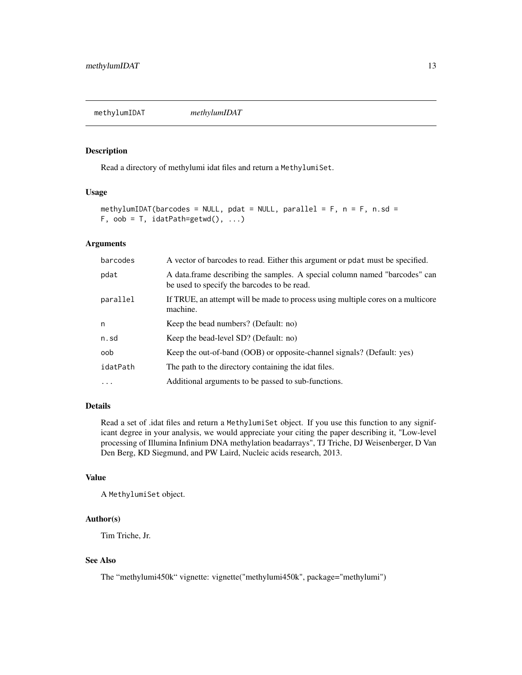<span id="page-12-1"></span><span id="page-12-0"></span>methylumIDAT *methylumIDAT*

## Description

Read a directory of methylumi idat files and return a MethylumiSet.

## Usage

```
methylumIDAT(barcodes = NULL, pdat = NULL, parallel = F, n = F, n.sd =F, oob = T, idatPath=getwd(), ...)
```
## Arguments

| barcodes | A vector of barcodes to read. Either this argument or pdat must be specified.                                             |
|----------|---------------------------------------------------------------------------------------------------------------------------|
| pdat     | A data frame describing the samples. A special column named "barcodes" can<br>be used to specify the barcodes to be read. |
| parallel | If TRUE, an attempt will be made to process using multiple cores on a multicore<br>machine.                               |
| n        | Keep the bead numbers? (Default: no)                                                                                      |
| n.sd     | Keep the bead-level SD? (Default: no)                                                                                     |
| oob      | Keep the out-of-band (OOB) or opposite-channel signals? (Default: yes)                                                    |
| idatPath | The path to the directory containing the idat files.                                                                      |
| $\cdots$ | Additional arguments to be passed to sub-functions.                                                                       |

## Details

Read a set of .idat files and return a MethylumiSet object. If you use this function to any significant degree in your analysis, we would appreciate your citing the paper describing it, "Low-level processing of Illumina Infinium DNA methylation beadarrays", TJ Triche, DJ Weisenberger, D Van Den Berg, KD Siegmund, and PW Laird, Nucleic acids research, 2013.

## Value

A MethylumiSet object.

#### Author(s)

Tim Triche, Jr.

## See Also

The "methylumi450k" vignette: vignette("methylumi450k", package="methylumi")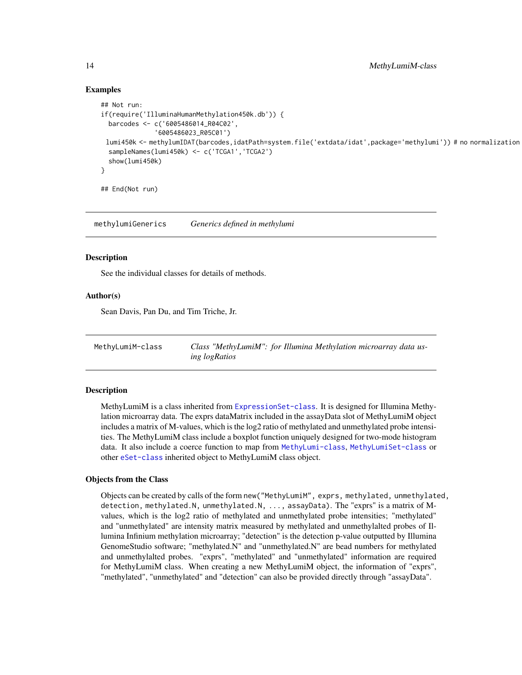## Examples

```
## Not run:
if(require('IlluminaHumanMethylation450k.db')) {
 barcodes <- c('6005486014_R04C02',
              '6005486023_R05C01')
 lumi450k <- methylumIDAT(barcodes,idatPath=system.file('extdata/idat',package='methylumi')) # no normalization
 sampleNames(lumi450k) <- c('TCGA1','TCGA2')
 show(lumi450k)
}
## End(Not run)
```
methylumiGenerics *Generics defined in methylumi*

## **Description**

See the individual classes for details of methods.

## Author(s)

Sean Davis, Pan Du, and Tim Triche, Jr.

<span id="page-13-1"></span>MethyLumiM-class *Class "MethyLumiM": for Illumina Methylation microarray data using logRatios*

#### Description

MethyLumiM is a class inherited from [ExpressionSet-class](#page-0-0). It is designed for Illumina Methylation microarray data. The exprs dataMatrix included in the assayData slot of MethyLumiM object includes a matrix of M-values, which is the log2 ratio of methylated and unmethylated probe intensities. The MethyLumiM class include a boxplot function uniquely designed for two-mode histogram data. It also include a coerce function to map from [MethyLumi-class](#page-9-1), [MethyLumiSet-class](#page-18-1) or other [eSet-class](#page-0-0) inherited object to MethyLumiM class object.

#### Objects from the Class

Objects can be created by calls of the form new("MethyLumiM", exprs, methylated, unmethylated, detection, methylated.N, unmethylated.N, ..., assayData). The "exprs" is a matrix of Mvalues, which is the log2 ratio of methylated and unmethylated probe intensities; "methylated" and "unmethylated" are intensity matrix measured by methylated and unmethylalted probes of Illumina Infinium methylation microarray; "detection" is the detection p-value outputted by Illumina GenomeStudio software; "methylated.N" and "unmethylated.N" are bead numbers for methylated and unmethylalted probes. "exprs", "methylated" and "unmethylated" information are required for MethyLumiM class. When creating a new MethyLumiM object, the information of "exprs", "methylated", "unmethylated" and "detection" can also be provided directly through "assayData".

<span id="page-13-0"></span>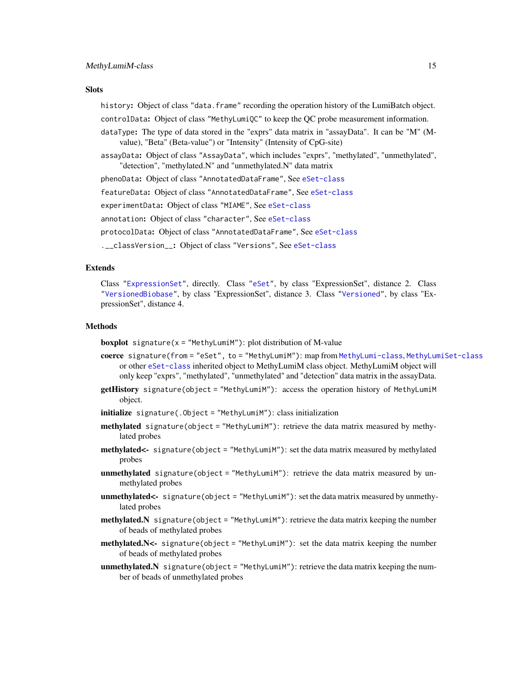#### <span id="page-14-0"></span>**Slots**

history: Object of class "data. frame" recording the operation history of the LumiBatch object. controlData: Object of class "MethyLumiQC" to keep the QC probe measurement information.

- dataType: The type of data stored in the "exprs" data matrix in "assayData". It can be "M" (Mvalue), "Beta" (Beta-value") or "Intensity" (Intensity of CpG-site)
- assayData: Object of class "AssayData", which includes "exprs", "methylated", "unmethylated", "detection", "methylated.N" and "unmethylated.N" data matrix

phenoData: Object of class "AnnotatedDataFrame", See [eSet-class](#page-0-0)

featureData: Object of class "AnnotatedDataFrame", See [eSet-class](#page-0-0)

experimentData: Object of class "MIAME", See [eSet-class](#page-0-0)

annotation: Object of class "character", See [eSet-class](#page-0-0)

protocolData: Object of class "AnnotatedDataFrame", See [eSet-class](#page-0-0)

.\_\_classVersion\_\_: Object of class "Versions", See [eSet-class](#page-0-0)

## Extends

Class ["ExpressionSet"](#page-0-0), directly. Class ["eSet"](#page-0-0), by class "ExpressionSet", distance 2. Class ["VersionedBiobase"](#page-0-0), by class "ExpressionSet", distance 3. Class ["Versioned"](#page-0-0), by class "ExpressionSet", distance 4.

#### Methods

**boxplot** signature( $x =$  "MethyLumiM"): plot distribution of M-value

- coerce signature(from = "eSet", to = "MethyLumiM"): map from [MethyLumi-class](#page-9-1), [MethyLumiSet-class](#page-18-1) or other [eSet-class](#page-0-0) inherited object to MethyLumiM class object. MethyLumiM object will only keep "exprs", "methylated", "unmethylated" and "detection" data matrix in the assayData.
- getHistory signature(object = "MethyLumiM"): access the operation history of MethyLumiM object.
- initialize signature(.Object = "MethyLumiM"): class initialization
- methylated signature(object = "MethyLumiM"): retrieve the data matrix measured by methylated probes
- methylated<- signature(object = "MethyLumiM"): set the data matrix measured by methylated probes
- unmethylated signature(object = "MethyLumiM"): retrieve the data matrix measured by unmethylated probes
- unmethylated<- signature(object = "MethyLumiM"): set the data matrix measured by unmethylated probes
- methylated.N signature(object = "MethyLumiM"): retrieve the data matrix keeping the number of beads of methylated probes
- $methylated.N \leftarrow$  signature(object = "MethyLumiM"): set the data matrix keeping the number of beads of methylated probes
- unmethylated.N signature(object = "MethyLumiM"): retrieve the data matrix keeping the number of beads of unmethylated probes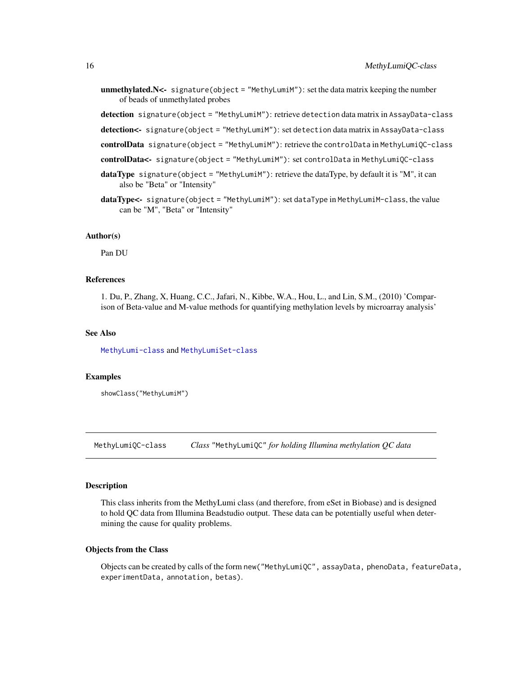<span id="page-15-0"></span>**unmethylated.** N<- signature(object = "MethyLumiM"): set the data matrix keeping the number of beads of unmethylated probes

detection signature(object = "MethyLumiM"): retrieve detection data matrix in AssayData-class

- detection<- signature(object = "MethyLumiM"): set detection data matrix in AssayData-class
- controlData signature(object = "MethyLumiM"): retrieve the controlData in MethyLumiQC-class

controlData<- signature(object = "MethyLumiM"): set controlData in MethyLumiQC-class

- dataType signature(object = "MethyLumiM"): retrieve the dataType, by default it is "M", it can also be "Beta" or "Intensity"
- dataType<- signature(object = "MethyLumiM"): set dataType in MethyLumiM-class, the value can be "M", "Beta" or "Intensity"

#### Author(s)

Pan DU

## References

1. Du, P., Zhang, X, Huang, C.C., Jafari, N., Kibbe, W.A., Hou, L., and Lin, S.M., (2010) 'Comparison of Beta-value and M-value methods for quantifying methylation levels by microarray analysis'

## See Also

[MethyLumi-class](#page-9-1) and [MethyLumiSet-class](#page-18-1)

#### Examples

showClass("MethyLumiM")

<span id="page-15-1"></span>MethyLumiQC-class *Class* "MethyLumiQC" *for holding Illumina methylation QC data*

#### Description

This class inherits from the MethyLumi class (and therefore, from eSet in Biobase) and is designed to hold QC data from Illumina Beadstudio output. These data can be potentially useful when determining the cause for quality problems.

#### Objects from the Class

Objects can be created by calls of the form new("MethyLumiQC", assayData, phenoData, featureData, experimentData, annotation, betas).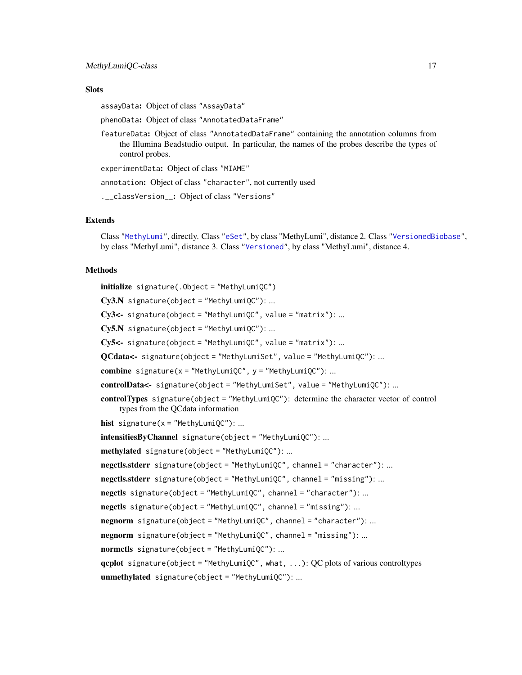## <span id="page-16-0"></span>**Slots**

assayData: Object of class "AssayData"

phenoData: Object of class "AnnotatedDataFrame"

featureData: Object of class "AnnotatedDataFrame" containing the annotation columns from the Illumina Beadstudio output. In particular, the names of the probes describe the types of control probes.

experimentData: Object of class "MIAME"

annotation: Object of class "character", not currently used

.\_\_classVersion\_\_: Object of class "Versions"

#### Extends

Class ["MethyLumi"](#page-9-1), directly. Class ["eSet"](#page-0-0), by class "MethyLumi", distance 2. Class ["VersionedBiobase"](#page-0-0), by class "MethyLumi", distance 3. Class ["Versioned"](#page-0-0), by class "MethyLumi", distance 4.

#### Methods

initialize signature(.Object = "MethyLumiQC")  $Cy3.N$  signature(object = "MethyLumiQC"): ...  $Cy3$  <- signature(object = "MethyLumiQC", value = "matrix"): ...  $Cy5.N$  signature(object = "MethyLumiQC"): ...  $Cy5$  <- signature(object = "MethyLumiQC", value = "matrix"): ... QCdata<- signature(object = "MethyLumiSet", value = "MethyLumiQC"): ... combine signature( $x =$  "MethyLumiQC",  $y =$  "MethyLumiQC"): ... controlData<- signature(object = "MethyLumiSet", value = "MethyLumiQC"): ... controlTypes signature(object = "MethyLumiQC"): determine the character vector of control types from the QCdata information hist signature( $x =$  "MethyLumiQC"): ... intensitiesByChannel signature(object = "MethyLumiQC"): ...  $methylated$  signature(object = "MethyLumiQC"): ... negctls.stderr signature(object = "MethyLumiQC", channel = "character"): ... negctls.stderr signature(object = "MethyLumiQC", channel = "missing"): ... negctls signature(object = "MethyLumiQC", channel = "character"): ... negctls signature(object = "MethyLumiQC", channel = "missing"): ... negnorm signature(object = "MethyLumiQC", channel = "character"): ... negnorm signature(object = "MethyLumiQC", channel = "missing"): ... normctls signature(object = "MethyLumiQC"): ... qcplot signature(object = "MethyLumiQC", what, ...): QC plots of various controltypes unmethylated signature(object = "MethyLumiQC"): ...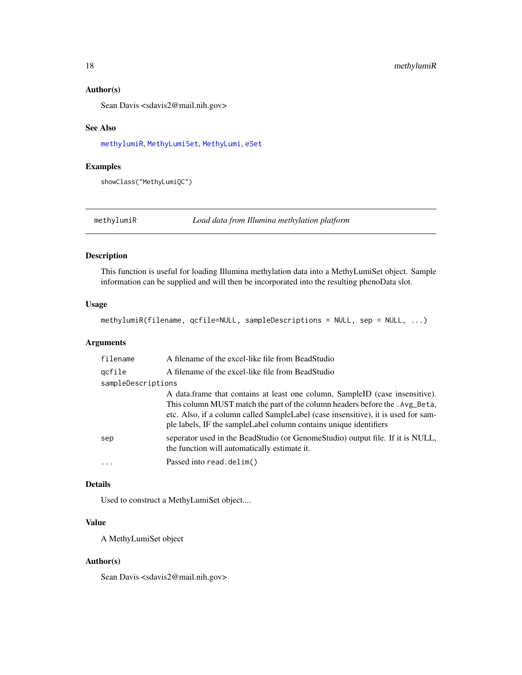#### Author(s)

Sean Davis <sdavis2@mail.nih.gov>

#### See Also

[methylumiR](#page-17-1), [MethyLumiSet](#page-18-1), [MethyLumi](#page-9-1), [eSet](#page-0-0)

## Examples

showClass("MethyLumiQC")

<span id="page-17-1"></span>methylumiR *Load data from Illumina methylation platform*

## Description

This function is useful for loading Illumina methylation data into a MethyLumiSet object. Sample information can be supplied and will then be incorporated into the resulting phenoData slot.

## Usage

methylumiR(filename, qcfile=NULL, sampleDescriptions = NULL, sep = NULL, ...)

## Arguments

| filename           | A filename of the excel-like file from BeadStudio                                                                                                                                                                                                                                                                       |
|--------------------|-------------------------------------------------------------------------------------------------------------------------------------------------------------------------------------------------------------------------------------------------------------------------------------------------------------------------|
| gcfile             | A filename of the excel-like file from BeadStudio                                                                                                                                                                                                                                                                       |
| sampleDescriptions |                                                                                                                                                                                                                                                                                                                         |
|                    | A data frame that contains at least one column, SampleID (case insensitive).<br>This column MUST match the part of the column headers before the . Avg_Beta,<br>etc. Also, if a column called SampleLabel (case insensitive), it is used for sam-<br>ple labels, IF the sample Label column contains unique identifiers |
| sep                | seperator used in the BeadStudio (or GenomeStudio) output file. If it is NULL,<br>the function will automatically estimate it.                                                                                                                                                                                          |
| .                  | Passed into read.delim()                                                                                                                                                                                                                                                                                                |

## Details

Used to construct a MethyLumiSet object....

## Value

A MethyLumiSet object

#### Author(s)

Sean Davis <sdavis2@mail.nih.gov>

<span id="page-17-0"></span>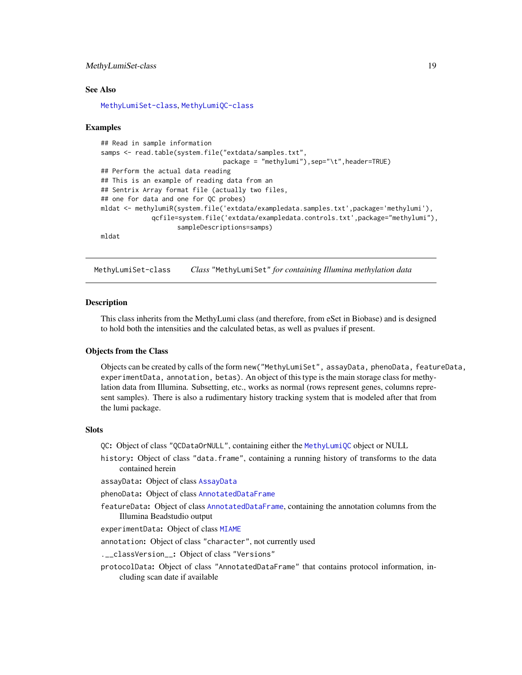## <span id="page-18-0"></span>MethyLumiSet-class 19

#### See Also

[MethyLumiSet-class](#page-18-1), [MethyLumiQC-class](#page-15-1)

#### Examples

```
## Read in sample information
samps <- read.table(system.file("extdata/samples.txt",
                                package = "methylumi"),sep="\t",header=TRUE)
## Perform the actual data reading
## This is an example of reading data from an
## Sentrix Array format file (actually two files,
## one for data and one for QC probes)
mldat <- methylumiR(system.file('extdata/exampledata.samples.txt',package='methylumi'),
             qcfile=system.file('extdata/exampledata.controls.txt',package="methylumi"),
                    sampleDescriptions=samps)
mldat
```
<span id="page-18-1"></span>MethyLumiSet-class *Class* "MethyLumiSet" *for containing Illumina methylation data*

#### **Description**

This class inherits from the MethyLumi class (and therefore, from eSet in Biobase) and is designed to hold both the intensities and the calculated betas, as well as pvalues if present.

#### Objects from the Class

Objects can be created by calls of the form new("MethyLumiSet", assayData, phenoData, featureData, experimentData, annotation, betas). An object of this type is the main storage class for methylation data from Illumina. Subsetting, etc., works as normal (rows represent genes, columns represent samples). There is also a rudimentary history tracking system that is modeled after that from the lumi package.

#### Slots

QC: Object of class "QCDataOrNULL", containing either the [MethyLumiQC](#page-15-1) object or NULL

history: Object of class "data.frame", containing a running history of transforms to the data contained herein

assayData: Object of class [AssayData](#page-0-0)

phenoData: Object of class [AnnotatedDataFrame](#page-0-0)

featureData: Object of class [AnnotatedDataFrame](#page-0-0), containing the annotation columns from the Illumina Beadstudio output

experimentData: Object of class [MIAME](#page-0-0)

annotation: Object of class "character", not currently used

.\_\_classVersion\_\_: Object of class "Versions"

protocolData: Object of class "AnnotatedDataFrame" that contains protocol information, including scan date if available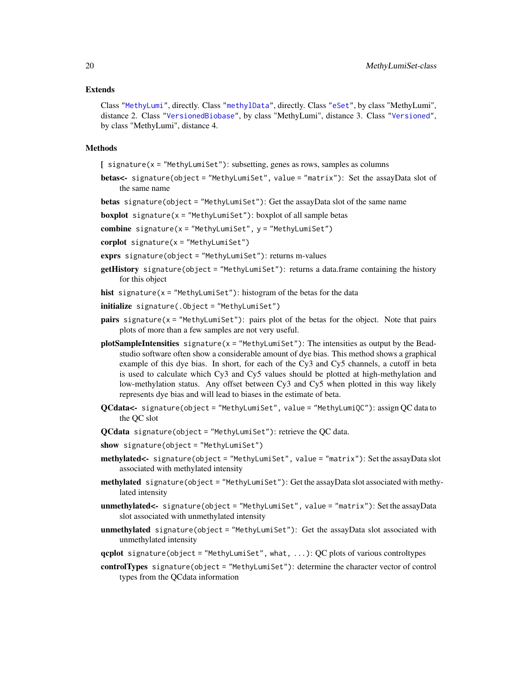#### <span id="page-19-0"></span>Extends

Class ["MethyLumi"](#page-9-1), directly. Class ["methylData"](#page-8-1), directly. Class ["eSet"](#page-0-0), by class "MethyLumi", distance 2. Class ["VersionedBiobase"](#page-0-0), by class "MethyLumi", distance 3. Class ["Versioned"](#page-0-0), by class "MethyLumi", distance 4.

#### Methods

[ signature(x = "MethyLumiSet"): subsetting, genes as rows, samples as columns

betas<- signature(object = "MethyLumiSet", value = "matrix"): Set the assayData slot of the same name

betas signature(object = "MethyLumiSet"): Get the assayData slot of the same name

**boxplot** signature( $x =$  "MethyLumiSet"): boxplot of all sample betas

combine signature( $x =$  "MethyLumiSet",  $y =$  "MethyLumiSet")

 $corplot$  signature( $x =$  "MethyLumiSet")

exprs signature(object = "MethyLumiSet"): returns m-values

- getHistory signature(object = "MethyLumiSet"): returns a data.frame containing the history for this object
- hist signature( $x =$  "MethyLumiSet"): histogram of the betas for the data
- initialize signature(.Object = "MethyLumiSet")
- **pairs** signature( $x =$  "MethyLumiSet"): pairs plot of the betas for the object. Note that pairs plots of more than a few samples are not very useful.
- plotSampleIntensities signature( $x =$  "MethyLumiSet"): The intensities as output by the Beadstudio software often show a considerable amount of dye bias. This method shows a graphical example of this dye bias. In short, for each of the Cy3 and Cy5 channels, a cutoff in beta is used to calculate which Cy3 and Cy5 values should be plotted at high-methylation and low-methylation status. Any offset between Cy3 and Cy5 when plotted in this way likely represents dye bias and will lead to biases in the estimate of beta.
- $QCdata$ <- signature(object = "MethyLumiSet", value = "MethyLumiQC"): assign  $QC$  data to the QC slot
- $QC$ data signature(object = "MethyLumiSet"): retrieve the  $QC$  data.
- show signature(object = "MethyLumiSet")
- methylated<- signature(object = "MethyLumiSet", value = "matrix"): Set the assayData slot associated with methylated intensity
- methylated signature(object = "MethyLumiSet"): Get the assayData slot associated with methylated intensity
- unmethylated<- signature(object = "MethyLumiSet", value = "matrix"): Set the assayData slot associated with unmethylated intensity
- unmethylated signature(object = "MethyLumiSet"): Get the assayData slot associated with unmethylated intensity
- $qcplot$  signature(object = "MethyLumiSet", what, ...): QC plots of various controltypes
- controlTypes signature(object = "MethyLumiSet"): determine the character vector of control types from the QCdata information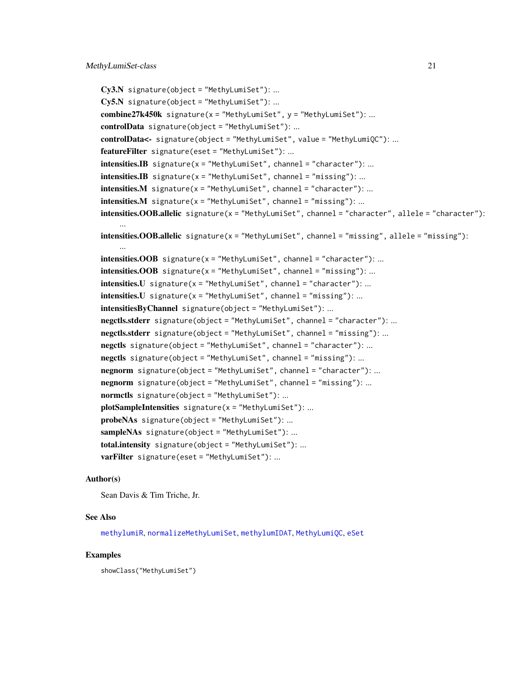```
Cy3.N signature(object = "MethyLumiSet"): ...
Cy5.N signature(object = "MethyLumiSet"): ...
combine27k450k signature(x = "MethyLumiSet", y = "MethyLumiSet"): ...
controlData signature(object = "MethyLumiSet"): ...
controlData<- signature(object = "MethyLumiSet", value = "MethyLumiQC"): ...
featureFilter signature(eset = "MethyLumiSet"): ...
intensities. IB signature(x = "MethyLumiSet", channel = "character"): ...
intensities. IB signature(x = "MethyLumiSet", channel = "missing"): ...
intensities.M signature(x = "MethyLumiSet", channel = "character"): ...
intensities.M signature(x = "MethyLumiSet", channel = "missing"): ...
intensities. OOB. allelic signature(x = "MethylLumis", channel = "character", allele = "character"):
     ...
intensities. OOB. allelic signature(x = "MethodLumisSet", channel = "missing", allele = "missing"):...
intensities. OOB signature(x = "MethyLumiSet", channel = "character"): ...
intensities. OOB signature(x = "MethyLumiSet", channel = "missing"): ...
intensities.U signature(x = "MethyLumiSet", channel = "character"): ...
intensities.U signature(x = "MethyLumiSet", channel = "missing"): ...
intensitiesByChannel signature(object = "MethyLumiSet"): ...
negctls.stderr signature(object = "MethyLumiSet", channel = "character"): ...
negctls.stderr signature(object = "MethyLumiSet", channel = "missing"): ...
negctls signature(object = "MethyLumiSet", channel = "character"): ...
negctls signature(object = "MethyLumiSet", channel = "missing"): ...
negnorm signature(object = "MethyLumiSet", channel = "character"): ...
negnorm signature(object = "MethyLumiSet", channel = "missing"): ...
normctls signature(object = "MethyLumiSet"): ...
plotSampleIntensities signature(x = "MethyLumiSet"): ...
probeNAs signature(object = "MethyLumiSet"): ...
sampleNAs signature(object = "MethyLumiSet"): ...
total.intensity signature(object = "MethyLumiSet"): ...
varFilter signature(eset = "MethyLumiSet"): ...
```
## Author(s)

Sean Davis & Tim Triche, Jr.

#### See Also

[methylumiR](#page-17-1), [normalizeMethyLumiSet](#page-21-1), [methylumIDAT](#page-12-1), [MethyLumiQC](#page-15-1), [eSet](#page-0-0)

#### Examples

showClass("MethyLumiSet")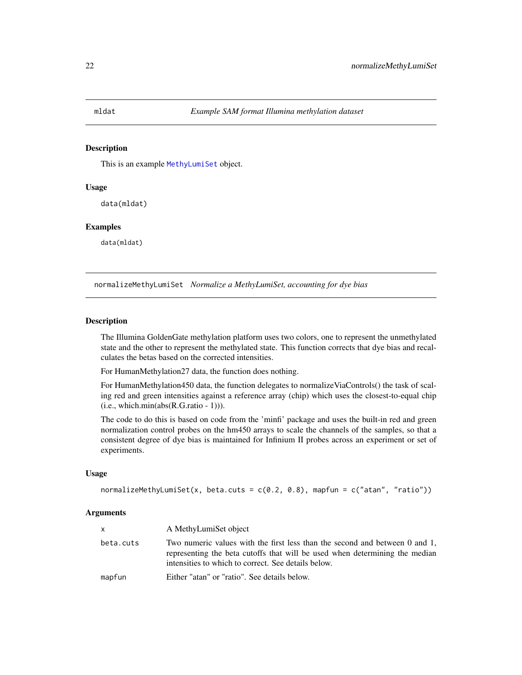<span id="page-21-0"></span>

## Description

This is an example [MethyLumiSet](#page-18-1) object.

## Usage

data(mldat)

#### Examples

data(mldat)

<span id="page-21-1"></span>normalizeMethyLumiSet *Normalize a MethyLumiSet, accounting for dye bias*

#### Description

The Illumina GoldenGate methylation platform uses two colors, one to represent the unmethylated state and the other to represent the methylated state. This function corrects that dye bias and recalculates the betas based on the corrected intensities.

For HumanMethylation27 data, the function does nothing.

For HumanMethylation450 data, the function delegates to normalizeViaControls() the task of scaling red and green intensities against a reference array (chip) which uses the closest-to-equal chip  $(i.e., which.min(abs(R.G.ratio - 1))).$ 

The code to do this is based on code from the 'minfi' package and uses the built-in red and green normalization control probes on the hm450 arrays to scale the channels of the samples, so that a consistent degree of dye bias is maintained for Infinium II probes across an experiment or set of experiments.

## Usage

normalizeMethyLumiSet(x, beta.cuts =  $c(0.2, 0.8)$ , mapfun =  $c("atan", "ratio"))$ 

#### Arguments

| $\mathsf{x}$ | A MethyLumiSet object                                                                                                                                                                                             |
|--------------|-------------------------------------------------------------------------------------------------------------------------------------------------------------------------------------------------------------------|
| beta.cuts    | Two numeric values with the first less than the second and between 0 and 1,<br>representing the beta cutoffs that will be used when determining the median<br>intensities to which to correct. See details below. |
| mapfun       | Either "atan" or "ratio". See details below.                                                                                                                                                                      |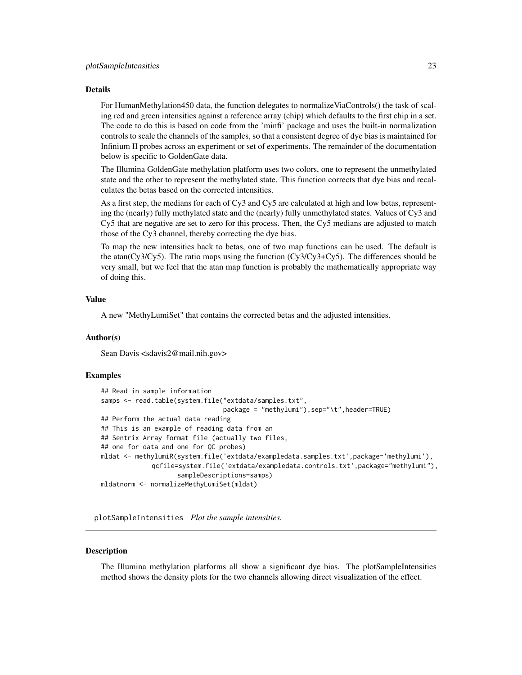#### <span id="page-22-0"></span>Details

For HumanMethylation450 data, the function delegates to normalizeViaControls() the task of scaling red and green intensities against a reference array (chip) which defaults to the first chip in a set. The code to do this is based on code from the 'minfi' package and uses the built-in normalization controls to scale the channels of the samples, so that a consistent degree of dye bias is maintained for Infinium II probes across an experiment or set of experiments. The remainder of the documentation below is specific to GoldenGate data.

The Illumina GoldenGate methylation platform uses two colors, one to represent the unmethylated state and the other to represent the methylated state. This function corrects that dye bias and recalculates the betas based on the corrected intensities.

As a first step, the medians for each of Cy3 and Cy5 are calculated at high and low betas, representing the (nearly) fully methylated state and the (nearly) fully unmethylated states. Values of Cy3 and Cy5 that are negative are set to zero for this process. Then, the Cy5 medians are adjusted to match those of the Cy3 channel, thereby correcting the dye bias.

To map the new intensities back to betas, one of two map functions can be used. The default is the atan( $Cy3/Cy5$ ). The ratio maps using the function ( $Cy3/Cy3+Cy5$ ). The differences should be very small, but we feel that the atan map function is probably the mathematically appropriate way of doing this.

#### Value

A new "MethyLumiSet" that contains the corrected betas and the adjusted intensities.

## Author(s)

Sean Davis <sdavis2@mail.nih.gov>

#### Examples

```
## Read in sample information
samps <- read.table(system.file("extdata/samples.txt",
                                package = "methylumi"),sep="\t",header=TRUE)
## Perform the actual data reading
## This is an example of reading data from an
## Sentrix Array format file (actually two files,
## one for data and one for QC probes)
mldat <- methylumiR(system.file('extdata/exampledata.samples.txt',package='methylumi'),
             qcfile=system.file('extdata/exampledata.controls.txt',package="methylumi"),
                    sampleDescriptions=samps)
mldatnorm <- normalizeMethyLumiSet(mldat)
```
plotSampleIntensities *Plot the sample intensities.*

#### **Description**

The Illumina methylation platforms all show a significant dye bias. The plotSampleIntensities method shows the density plots for the two channels allowing direct visualization of the effect.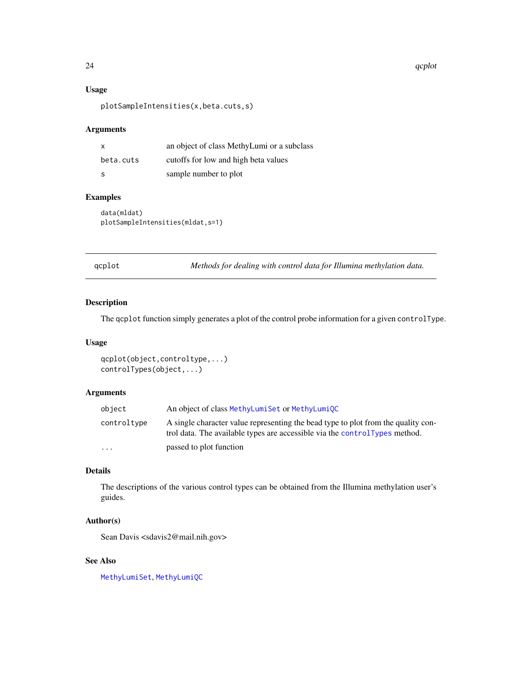#### 24 and 22 qcplot and 22 qcplot and 22 qcplot and 22 qcplot and 22 qcplot and 22 qcplot and 22 qcplot

## Usage

plotSampleIntensities(x,beta.cuts,s)

## Arguments

| x         | an object of class MethyLumi or a subclass |
|-----------|--------------------------------------------|
| beta.cuts | cutoffs for low and high beta values       |
| S         | sample number to plot                      |

## Examples

data(mldat) plotSampleIntensities(mldat,s=1)

qcplot *Methods for dealing with control data for Illumina methylation data.*

### <span id="page-23-1"></span>Description

The qcplot function simply generates a plot of the control probe information for a given controlType.

## Usage

```
qcplot(object,controltype,...)
controlTypes(object,...)
```
#### Arguments

| object                  | An object of class MethyLumiSet or MethyLumiQC                                                                                                                    |
|-------------------------|-------------------------------------------------------------------------------------------------------------------------------------------------------------------|
| controltype             | A single character value representing the bead type to plot from the quality con-<br>trol data. The available types are accessible via the controlly upes method. |
| $\cdot$ $\cdot$ $\cdot$ | passed to plot function                                                                                                                                           |

## Details

The descriptions of the various control types can be obtained from the Illumina methylation user's guides.

## Author(s)

Sean Davis <sdavis2@mail.nih.gov>

## See Also

[MethyLumiSet](#page-18-1), [MethyLumiQC](#page-15-1)

<span id="page-23-0"></span>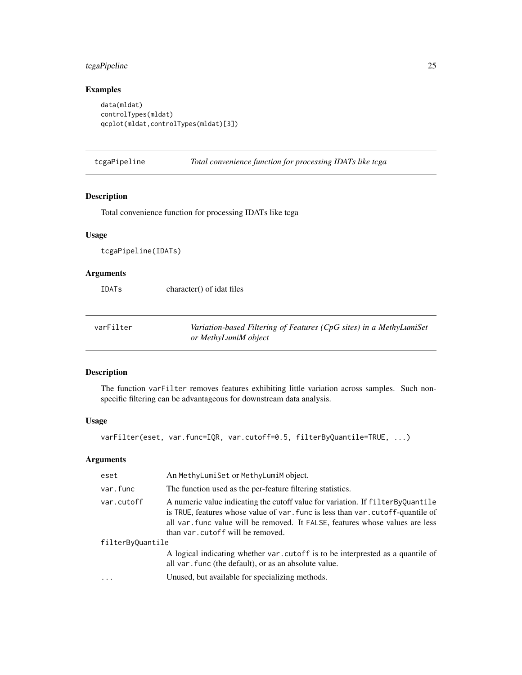## <span id="page-24-0"></span>tcgaPipeline 25

## Examples

```
data(mldat)
controlTypes(mldat)
qcplot(mldat,controlTypes(mldat)[3])
```
tcgaPipeline *Total convenience function for processing IDATs like tcga*

## Description

Total convenience function for processing IDATs like tcga

## Usage

tcgaPipeline(IDATs)

## Arguments

IDATs character() of idat files

| varFilter | Variation-based Filtering of Features (CpG sites) in a MethyLumiSet |
|-----------|---------------------------------------------------------------------|
|           | or MethyLumiM object                                                |

## Description

The function varFilter removes features exhibiting little variation across samples. Such nonspecific filtering can be advantageous for downstream data analysis.

## Usage

varFilter(eset, var.func=IQR, var.cutoff=0.5, filterByQuantile=TRUE, ...)

## Arguments

| eset             | An MethyLumiSet or MethyLumiM object.                                                                                                                                                                                                                                                    |
|------------------|------------------------------------------------------------------------------------------------------------------------------------------------------------------------------------------------------------------------------------------------------------------------------------------|
| var.func         | The function used as the per-feature filtering statistics.                                                                                                                                                                                                                               |
| var.cutoff       | A numeric value indicating the cutoff value for variation. If filter By Quantile<br>is TRUE, features whose value of var. func is less than var. cutoff-quantile of<br>all var func value will be removed. It FALSE, features whose values are less<br>than var. cutoff will be removed. |
| filterByQuantile |                                                                                                                                                                                                                                                                                          |
|                  | A logical indicating whether var. cutoff is to be interprested as a quantile of<br>all var. func (the default), or as an absolute value.                                                                                                                                                 |
| $\ddotsc$        | Unused, but available for specializing methods.                                                                                                                                                                                                                                          |
|                  |                                                                                                                                                                                                                                                                                          |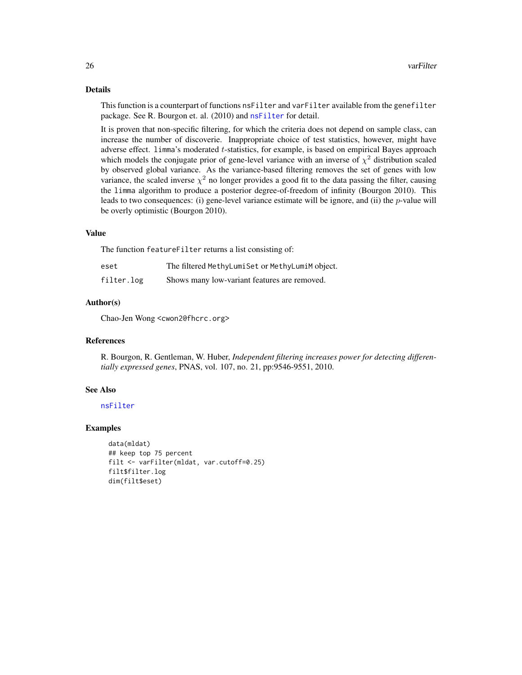#### <span id="page-25-0"></span>Details

This function is a counterpart of functions nsFilter and varFilter available from the genefilter package. See R. Bourgon et. al. (2010) and [nsFilter](#page-0-0) for detail.

It is proven that non-specific filtering, for which the criteria does not depend on sample class, can increase the number of discoverie. Inappropriate choice of test statistics, however, might have adverse effect. limma's moderated t-statistics, for example, is based on empirical Bayes approach which models the conjugate prior of gene-level variance with an inverse of  $\chi^2$  distribution scaled by observed global variance. As the variance-based filtering removes the set of genes with low variance, the scaled inverse  $\chi^2$  no longer provides a good fit to the data passing the filter, causing the limma algorithm to produce a posterior degree-of-freedom of infinity (Bourgon 2010). This leads to two consequences: (i) gene-level variance estimate will be ignore, and (ii) the  $p$ -value will be overly optimistic (Bourgon 2010).

#### Value

The function featureFilter returns a list consisting of:

| eset       | The filtered MethyLumiSet or MethyLumiM object. |
|------------|-------------------------------------------------|
| filter.log | Shows many low-variant features are removed.    |

#### Author(s)

Chao-Jen Wong <cwon2@fhcrc.org>

#### References

R. Bourgon, R. Gentleman, W. Huber, *Independent filtering increases power for detecting differentially expressed genes*, PNAS, vol. 107, no. 21, pp:9546-9551, 2010.

## See Also

[nsFilter](#page-0-0)

#### Examples

data(mldat) ## keep top 75 percent filt <- varFilter(mldat, var.cutoff=0.25) filt\$filter.log dim(filt\$eset)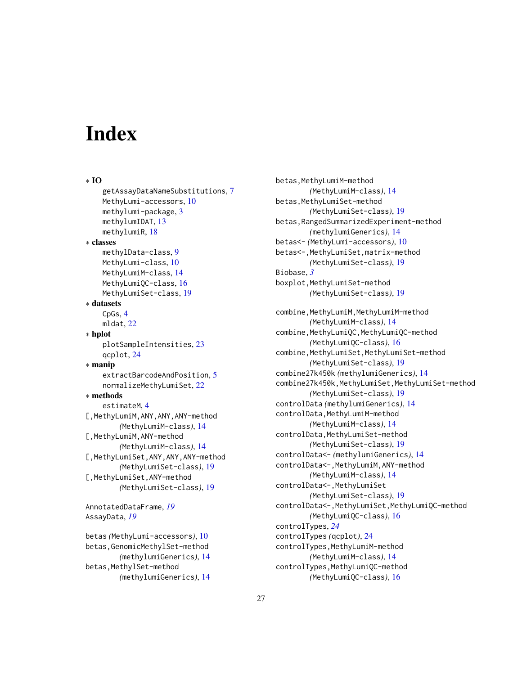# <span id="page-26-0"></span>**Index**

```
∗ IO
    getAssayDataNameSubstitutions, 7
    MethyLumi-accessors, 10
    methylumi-package, 3
    methylumIDAT, 13
    methylumiR, 18
∗ classes
    methylData-class, 9
    MethyLumi-class, 10
    MethyLumiM-class, 14
    MethyLumiQC-class, 16
    MethyLumiSet-class, 19
∗ datasets
    CpGs, 4
    mldat, 22
∗ hplot
    plotSampleIntensities, 23
    qcplot, 24
∗ manip
    extractBarcodeAndPosition, 5
    normalizeMethyLumiSet, 22
∗ methods
    estimateM, 4
[,MethyLumiM,ANY,ANY,ANY-method
        (MethyLumiM-class), 14
[,MethyLumiM,ANY-method
        (MethyLumiM-class), 14
[,MethyLumiSet,ANY,ANY,ANY-method
        (MethyLumiSet-class), 19
[,MethyLumiSet,ANY-method
        (MethyLumiSet-class), 19
```
AnnotatedDataFrame, *[19](#page-18-0)* AssayData, *[19](#page-18-0)*

betas *(*MethyLumi-accessors*)*, [10](#page-9-0) betas,GenomicMethylSet-method *(*methylumiGenerics*)*, [14](#page-13-0) betas,MethylSet-method *(*methylumiGenerics*)*, [14](#page-13-0)

betas,MethyLumiM-method *(*MethyLumiM-class*)*, [14](#page-13-0) betas,MethyLumiSet-method *(*MethyLumiSet-class*)*, [19](#page-18-0) betas,RangedSummarizedExperiment-method *(*methylumiGenerics*)*, [14](#page-13-0) betas<- *(*MethyLumi-accessors*)*, [10](#page-9-0) betas<-,MethyLumiSet,matrix-method *(*MethyLumiSet-class*)*, [19](#page-18-0) Biobase, *[3](#page-2-0)* boxplot,MethyLumiSet-method *(*MethyLumiSet-class*)*, [19](#page-18-0) combine,MethyLumiM,MethyLumiM-method *(*MethyLumiM-class*)*, [14](#page-13-0) combine, MethyLumiQC, MethyLumiQC-method *(*MethyLumiQC-class*)*, [16](#page-15-0) combine, MethyLumiSet, MethyLumiSet-method *(*MethyLumiSet-class*)*, [19](#page-18-0) combine27k450k *(*methylumiGenerics*)*, [14](#page-13-0) combine27k450k,MethyLumiSet,MethyLumiSet-method *(*MethyLumiSet-class*)*, [19](#page-18-0) controlData *(*methylumiGenerics*)*, [14](#page-13-0) controlData, MethyLumiM-method *(*MethyLumiM-class*)*, [14](#page-13-0) controlData,MethyLumiSet-method *(*MethyLumiSet-class*)*, [19](#page-18-0) controlData<- *(*methylumiGenerics*)*, [14](#page-13-0) controlData<-,MethyLumiM,ANY-method *(*MethyLumiM-class*)*, [14](#page-13-0) controlData<-,MethyLumiSet *(*MethyLumiSet-class*)*, [19](#page-18-0) controlData<-,MethyLumiSet,MethyLumiQC-method *(*MethyLumiQC-class*)*, [16](#page-15-0) controlTypes, *[24](#page-23-0)* controlTypes *(*qcplot*)*, [24](#page-23-0) controlTypes,MethyLumiM-method *(*MethyLumiM-class*)*, [14](#page-13-0) controlTypes, MethyLumiQC-method *(*MethyLumiQC-class*)*, [16](#page-15-0)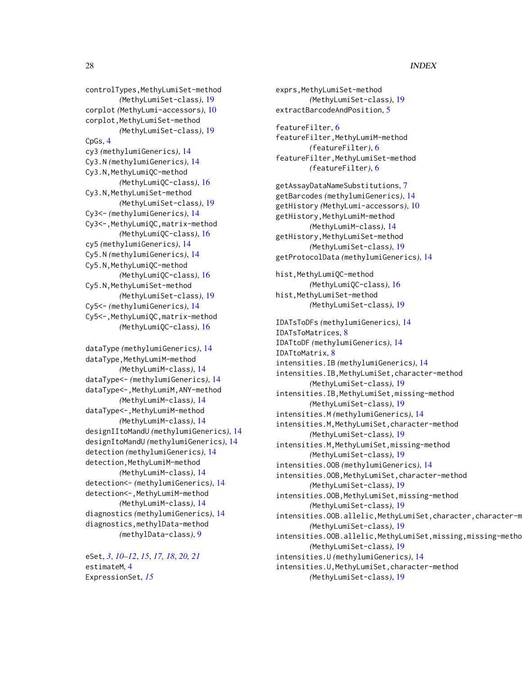## 28 INDEX

controlTypes,MethyLumiSet-method *(*MethyLumiSet-class*)*, [19](#page-18-0) corplot *(*MethyLumi-accessors*)*, [10](#page-9-0) corplot,MethyLumiSet-method *(*MethyLumiSet-class*)*, [19](#page-18-0) CpGs, [4](#page-3-0) cy3 *(*methylumiGenerics*)*, [14](#page-13-0) Cy3.N *(*methylumiGenerics*)*, [14](#page-13-0) Cy3.N, MethyLumiQC-method *(*MethyLumiQC-class*)*, [16](#page-15-0) Cy3.N,MethyLumiSet-method *(*MethyLumiSet-class*)*, [19](#page-18-0) Cy3<- *(*methylumiGenerics*)*, [14](#page-13-0) Cy3<-,MethyLumiQC,matrix-method *(*MethyLumiQC-class*)*, [16](#page-15-0) cy5 *(*methylumiGenerics*)*, [14](#page-13-0) Cy5.N *(*methylumiGenerics*)*, [14](#page-13-0) Cy5.N, MethyLumiQC-method *(*MethyLumiQC-class*)*, [16](#page-15-0) Cy5.N, MethyLumiSet-method *(*MethyLumiSet-class*)*, [19](#page-18-0) Cy5<- *(*methylumiGenerics*)*, [14](#page-13-0) Cy5<-,MethyLumiQC,matrix-method *(*MethyLumiQC-class*)*, [16](#page-15-0)

```
dataType (methylumiGenerics), 14
dataType, MethyLumiM-method
        (MethyLumiM-class), 14
dataType<- (methylumiGenerics), 14
dataType<-,MethyLumiM,ANY-method
        (MethyLumiM-class), 14
dataType<-,MethyLumiM-method
        (MethyLumiM-class), 14
designIItoMandU (methylumiGenerics), 14
designItoMandU (methylumiGenerics), 14
detection (methylumiGenerics), 14
detection, MethyLumiM-method
        (MethyLumiM-class), 14
detection<- (methylumiGenerics), 14
detection <- , MethyLumiM-method
        (MethyLumiM-class), 14
diagnostics (methylumiGenerics), 14
diagnostics,methylData-method
        (methylData-class), 9
```
eSet, *[3](#page-2-0)*, *[10](#page-9-0)[–12](#page-11-0)*, *[15](#page-14-0)*, *[17,](#page-16-0) [18](#page-17-0)*, *[20,](#page-19-0) [21](#page-20-0)* estimateM, [4](#page-3-0) ExpressionSet, *[15](#page-14-0)*

exprs, MethyLumiSet-method *(*MethyLumiSet-class*)*, [19](#page-18-0) extractBarcodeAndPosition, [5](#page-4-0) featureFilter, [6](#page-5-0) featureFilter,MethyLumiM-method *(*featureFilter*)*, [6](#page-5-0) featureFilter,MethyLumiSet-method *(*featureFilter*)*, [6](#page-5-0) getAssayDataNameSubstitutions, [7](#page-6-0) getBarcodes *(*methylumiGenerics*)*, [14](#page-13-0) getHistory *(*MethyLumi-accessors*)*, [10](#page-9-0) getHistory,MethyLumiM-method *(*MethyLumiM-class*)*, [14](#page-13-0) getHistory,MethyLumiSet-method *(*MethyLumiSet-class*)*, [19](#page-18-0) getProtocolData *(*methylumiGenerics*)*, [14](#page-13-0) hist,MethyLumiQC-method *(*MethyLumiQC-class*)*, [16](#page-15-0) hist,MethyLumiSet-method *(*MethyLumiSet-class*)*, [19](#page-18-0) IDATsToDFs *(*methylumiGenerics*)*, [14](#page-13-0) IDATsToMatrices, [8](#page-7-0) IDATtoDF *(*methylumiGenerics*)*, [14](#page-13-0) IDATtoMatrix, [8](#page-7-0) intensities.IB *(*methylumiGenerics*)*, [14](#page-13-0) intensities.IB,MethyLumiSet,character-method *(*MethyLumiSet-class*)*, [19](#page-18-0) intensities.IB,MethyLumiSet,missing-method *(*MethyLumiSet-class*)*, [19](#page-18-0) intensities.M *(*methylumiGenerics*)*, [14](#page-13-0) intensities.M,MethyLumiSet,character-method *(*MethyLumiSet-class*)*, [19](#page-18-0) intensities.M,MethyLumiSet,missing-method *(*MethyLumiSet-class*)*, [19](#page-18-0) intensities.OOB *(*methylumiGenerics*)*, [14](#page-13-0) intensities.OOB,MethyLumiSet,character-method *(*MethyLumiSet-class*)*, [19](#page-18-0) intensities.OOB,MethyLumiSet,missing-method *(*MethyLumiSet-class*)*, [19](#page-18-0) intensities.OOB.allelic,MethyLumiSet,character,character-m *(*MethyLumiSet-class*)*, [19](#page-18-0) intensities.OOB.allelic, MethyLumiSet, missing, missing-metho *(*MethyLumiSet-class*)*, [19](#page-18-0) intensities.U *(*methylumiGenerics*)*, [14](#page-13-0) intensities.U,MethyLumiSet,character-method *(*MethyLumiSet-class*)*, [19](#page-18-0)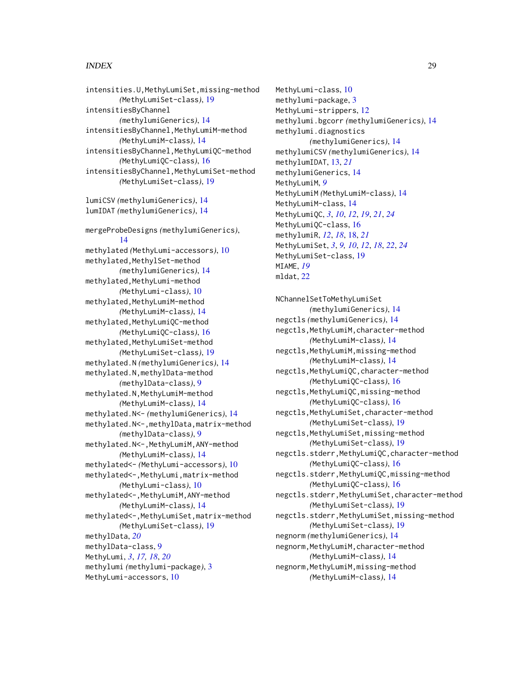#### INDEX 29

intensities.U,MethyLumiSet,missing-method *(*MethyLumiSet-class*)*, [19](#page-18-0) intensitiesByChannel *(*methylumiGenerics*)*, [14](#page-13-0) intensitiesByChannel,MethyLumiM-method *(*MethyLumiM-class*)*, [14](#page-13-0) intensitiesByChannel,MethyLumiQC-method *(*MethyLumiQC-class*)*, [16](#page-15-0) intensitiesByChannel,MethyLumiSet-method *(*MethyLumiSet-class*)*, [19](#page-18-0) lumiCSV *(*methylumiGenerics*)*, [14](#page-13-0) lumIDAT *(*methylumiGenerics*)*, [14](#page-13-0) mergeProbeDesigns *(*methylumiGenerics*)*, [14](#page-13-0) methylated *(*MethyLumi-accessors*)*, [10](#page-9-0) methylated,MethylSet-method *(*methylumiGenerics*)*, [14](#page-13-0) methylated, MethyLumi-method *(*MethyLumi-class*)*, [10](#page-9-0) methylated, MethyLumiM-method *(*MethyLumiM-class*)*, [14](#page-13-0) methylated,MethyLumiQC-method *(*MethyLumiQC-class*)*, [16](#page-15-0) methylated,MethyLumiSet-method *(*MethyLumiSet-class*)*, [19](#page-18-0) methylated.N *(*methylumiGenerics*)*, [14](#page-13-0) methylated.N,methylData-method *(*methylData-class*)*, [9](#page-8-0) methylated.N,MethyLumiM-method *(*MethyLumiM-class*)*, [14](#page-13-0) methylated.N<- *(*methylumiGenerics*)*, [14](#page-13-0) methylated.N<-,methylData,matrix-method *(*methylData-class*)*, [9](#page-8-0) methylated.N<-,MethyLumiM,ANY-method *(*MethyLumiM-class*)*, [14](#page-13-0) methylated<- *(*MethyLumi-accessors*)*, [10](#page-9-0) methylated<-,MethyLumi,matrix-method *(*MethyLumi-class*)*, [10](#page-9-0) methylated<-,MethyLumiM,ANY-method *(*MethyLumiM-class*)*, [14](#page-13-0) methylated<-,MethyLumiSet,matrix-method *(*MethyLumiSet-class*)*, [19](#page-18-0) methylData, *[20](#page-19-0)* methylData-class, [9](#page-8-0) MethyLumi, *[3](#page-2-0)*, *[17,](#page-16-0) [18](#page-17-0)*, *[20](#page-19-0)* methylumi *(*methylumi-package*)*, [3](#page-2-0) MethyLumi-accessors, [10](#page-9-0)

MethyLumi-class, [10](#page-9-0) methylumi-package, [3](#page-2-0) MethyLumi-strippers, [12](#page-11-0) methylumi.bgcorr *(*methylumiGenerics*)*, [14](#page-13-0) methylumi.diagnostics *(*methylumiGenerics*)*, [14](#page-13-0) methylumiCSV *(*methylumiGenerics*)*, [14](#page-13-0) methylumIDAT, [13,](#page-12-0) *[21](#page-20-0)* methylumiGenerics, [14](#page-13-0) MethyLumiM, *[9](#page-8-0)* MethyLumiM *(*MethyLumiM-class*)*, [14](#page-13-0) MethyLumiM-class, [14](#page-13-0) MethyLumiQC, *[3](#page-2-0)*, *[10](#page-9-0)*, *[12](#page-11-0)*, *[19](#page-18-0)*, *[21](#page-20-0)*, *[24](#page-23-0)* MethyLumiQC-class, [16](#page-15-0) methylumiR, *[12](#page-11-0)*, *[18](#page-17-0)*, [18,](#page-17-0) *[21](#page-20-0)* MethyLumiSet, *[3](#page-2-0)*, *[9,](#page-8-0) [10](#page-9-0)*, *[12](#page-11-0)*, *[18](#page-17-0)*, *[22](#page-21-0)*, *[24](#page-23-0)* MethyLumiSet-class, [19](#page-18-0) MIAME, *[19](#page-18-0)* mldat, [22](#page-21-0)

NChannelSetToMethyLumiSet *(*methylumiGenerics*)*, [14](#page-13-0) negctls *(*methylumiGenerics*)*, [14](#page-13-0) negctls,MethyLumiM,character-method *(*MethyLumiM-class*)*, [14](#page-13-0) negctls, MethyLumiM, missing-method *(*MethyLumiM-class*)*, [14](#page-13-0) negctls,MethyLumiQC,character-method *(*MethyLumiQC-class*)*, [16](#page-15-0) negctls,MethyLumiQC,missing-method *(*MethyLumiQC-class*)*, [16](#page-15-0) negctls,MethyLumiSet,character-method *(*MethyLumiSet-class*)*, [19](#page-18-0) negctls,MethyLumiSet,missing-method *(*MethyLumiSet-class*)*, [19](#page-18-0) negctls.stderr,MethyLumiQC,character-method *(*MethyLumiQC-class*)*, [16](#page-15-0) negctls.stderr,MethyLumiQC,missing-method *(*MethyLumiQC-class*)*, [16](#page-15-0) negctls.stderr,MethyLumiSet,character-method *(*MethyLumiSet-class*)*, [19](#page-18-0) negctls.stderr,MethyLumiSet,missing-method *(*MethyLumiSet-class*)*, [19](#page-18-0) negnorm *(*methylumiGenerics*)*, [14](#page-13-0) negnorm, MethyLumiM, character-method *(*MethyLumiM-class*)*, [14](#page-13-0) negnorm, MethyLumiM, missing-method *(*MethyLumiM-class*)*, [14](#page-13-0)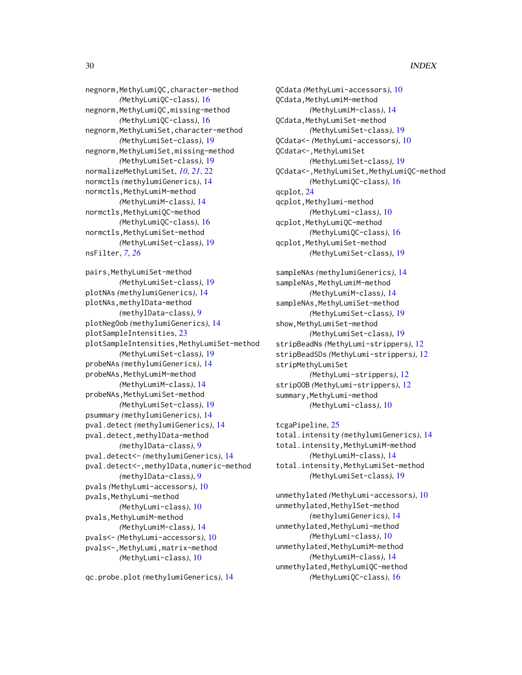negnorm,MethyLumiQC,character-method *(*MethyLumiQC-class*)*, [16](#page-15-0) negnorm,MethyLumiQC,missing-method *(*MethyLumiQC-class*)*, [16](#page-15-0) negnorm,MethyLumiSet,character-method *(*MethyLumiSet-class*)*, [19](#page-18-0) negnorm,MethyLumiSet,missing-method *(*MethyLumiSet-class*)*, [19](#page-18-0) normalizeMethyLumiSet, *[10](#page-9-0)*, *[21](#page-20-0)*, [22](#page-21-0) normctls *(*methylumiGenerics*)*, [14](#page-13-0) normctls,MethyLumiM-method *(*MethyLumiM-class*)*, [14](#page-13-0) normctls,MethyLumiQC-method *(*MethyLumiQC-class*)*, [16](#page-15-0) normctls, MethyLumiSet-method *(*MethyLumiSet-class*)*, [19](#page-18-0) nsFilter, *[7](#page-6-0)*, *[26](#page-25-0)*

```
pairs,MethyLumiSet-method
        (MethyLumiSet-class), 19
plotNAs (methylumiGenerics), 14
plotNAs,methylData-method
        (methylData-class), 9
plotNegOob (methylumiGenerics), 14
plotSampleIntensities, 23
plotSampleIntensities,MethyLumiSet-method
        (MethyLumiSet-class), 19
probeNAs (methylumiGenerics), 14
probeNAs, MethyLumiM-method
        (MethyLumiM-class), 14
probeNAs, MethyLumiSet-method
        (MethyLumiSet-class), 19
psummary (methylumiGenerics), 14
pval.detect (methylumiGenerics), 14
pval.detect,methylData-method
        (methylData-class), 9
pval.detect<- (methylumiGenerics), 14
pval.detect<-,methylData,numeric-method
        (methylData-class), 9
pvals (MethyLumi-accessors), 10
pvals, MethyLumi-method
        (MethyLumi-class), 10
pvals, MethyLumiM-method
        (MethyLumiM-class), 14
pvals<- (MethyLumi-accessors), 10
pvals<-,MethyLumi,matrix-method
        (MethyLumi-class), 10
```

```
qc.probe.plot (methylumiGenerics), 14
```
QCdata *(*MethyLumi-accessors*)*, [10](#page-9-0) QCdata,MethyLumiM-method *(*MethyLumiM-class*)*, [14](#page-13-0) QCdata, MethyLumiSet-method *(*MethyLumiSet-class*)*, [19](#page-18-0) QCdata<- *(*MethyLumi-accessors*)*, [10](#page-9-0) QCdata<-,MethyLumiSet *(*MethyLumiSet-class*)*, [19](#page-18-0) QCdata<-,MethyLumiSet,MethyLumiQC-method *(*MethyLumiQC-class*)*, [16](#page-15-0) qcplot, [24](#page-23-0) qcplot,Methylumi-method *(*MethyLumi-class*)*, [10](#page-9-0) qcplot,MethyLumiQC-method *(*MethyLumiQC-class*)*, [16](#page-15-0) qcplot,MethyLumiSet-method *(*MethyLumiSet-class*)*, [19](#page-18-0)

sampleNAs *(*methylumiGenerics*)*, [14](#page-13-0) sampleNAs, MethyLumiM-method *(*MethyLumiM-class*)*, [14](#page-13-0) sampleNAs, MethyLumiSet-method *(*MethyLumiSet-class*)*, [19](#page-18-0) show, MethyLumiSet-method *(*MethyLumiSet-class*)*, [19](#page-18-0) stripBeadNs *(*MethyLumi-strippers*)*, [12](#page-11-0) stripBeadSDs *(*MethyLumi-strippers*)*, [12](#page-11-0) stripMethyLumiSet *(*MethyLumi-strippers*)*, [12](#page-11-0) stripOOB *(*MethyLumi-strippers*)*, [12](#page-11-0) summary, MethyLumi-method *(*MethyLumi-class*)*, [10](#page-9-0)

tcgaPipeline, [25](#page-24-0) total.intensity *(*methylumiGenerics*)*, [14](#page-13-0) total.intensity,MethyLumiM-method *(*MethyLumiM-class*)*, [14](#page-13-0) total.intensity,MethyLumiSet-method *(*MethyLumiSet-class*)*, [19](#page-18-0)

unmethylated *(*MethyLumi-accessors*)*, [10](#page-9-0) unmethylated, MethylSet-method *(*methylumiGenerics*)*, [14](#page-13-0) unmethylated,MethyLumi-method *(*MethyLumi-class*)*, [10](#page-9-0) unmethylated, MethyLumiM-method *(*MethyLumiM-class*)*, [14](#page-13-0) unmethylated, MethyLumiQC-method *(*MethyLumiQC-class*)*, [16](#page-15-0)